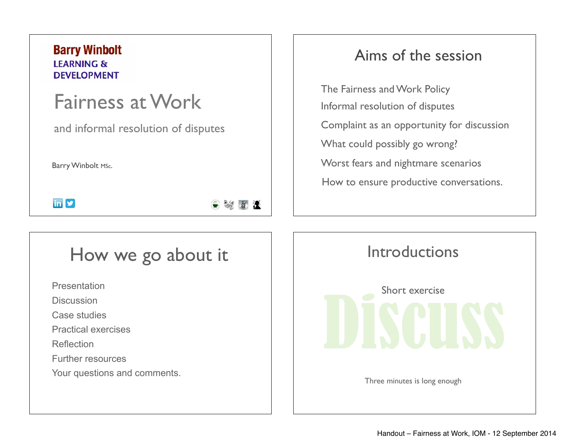#### **Barry Winbolt LEARNING & DEVELOPMENT**

# Fairness at Work

and informal resolution of disputes

Barry Winbolt MSc.

 $\ln 9$ 

# How we go about it

Presentation

**Discussion** 

Case studies

Practical exercises

**Reflection** 

Further resources

Your questions and comments.

#### Aims of the session

The Fairness and Work Policy Informal resolution of disputes Complaint as an opportunity for discussion What could possibly go wrong? Worst fears and nightmare scenarios How to ensure productive conversations.

Discuss **Introductions** Short exercise Three minutes is long enough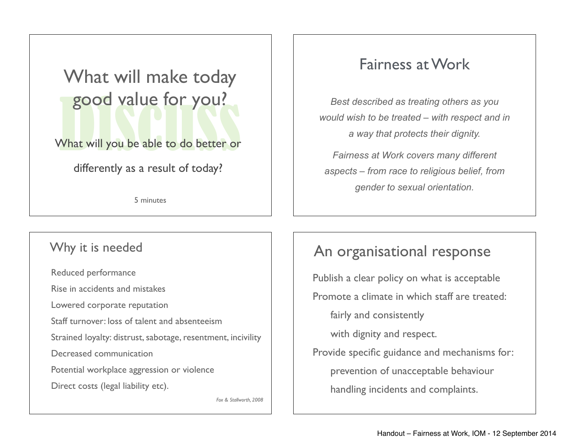# good value for you!<br>What will you be able to do better or What will make today good value for you?

What will you be able to do better or

differently as a result of today?

5 minutes

### Fairness at Work

*Best described as treating others as you would wish to be treated – with respect and in a way that protects their dignity.* 

*Fairness at Work covers many different aspects – from race to religious belief, from gender to sexual orientation.* 

#### Why it is needed

Reduced performance Rise in accidents and mistakes Lowered corporate reputation Staff turnover: loss of talent and absenteeism Strained loyalty: distrust, sabotage, resentment, incivility Decreased communication Potential workplace aggression or violence Direct costs (legal liability etc). *Fox & Stallworth, 2008*

#### An organisational response

Publish a clear policy on what is acceptable Promote a climate in which staff are treated: fairly and consistently with dignity and respect. Provide specific guidance and mechanisms for: prevention of unacceptable behaviour handling incidents and complaints.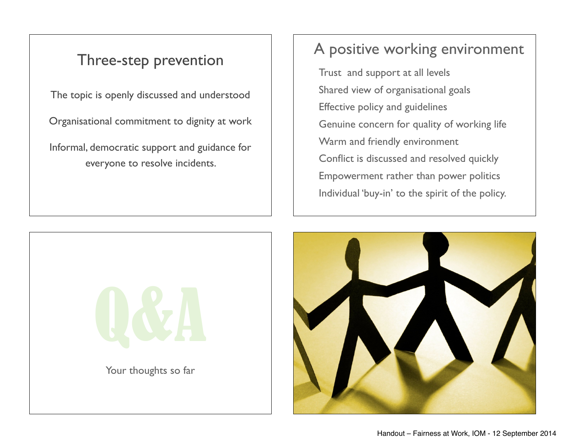#### Three-step prevention

The topic is openly discussed and understood

Organisational commitment to dignity at work

Informal, democratic support and guidance for everyone to resolve incidents.

## A positive working environment

Trust and support at all levels Shared view of organisational goals Effective policy and guidelines Genuine concern for quality of working life Warm and friendly environment Conflict is discussed and resolved quickly Empowerment rather than power politics Individual 'buy-in' to the spirit of the policy.



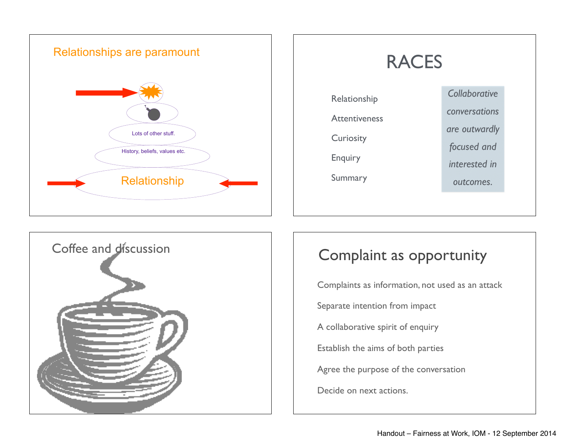





Complaints as information, not used as an attack Separate intention from impact A collaborative spirit of enquiry Establish the aims of both parties Agree the purpose of the conversation Decide on next actions.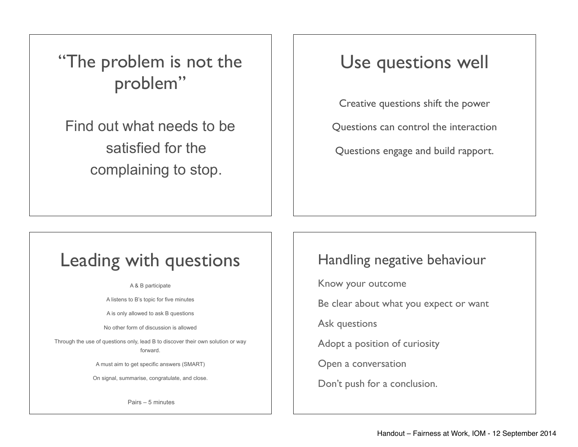"The problem is not the problem"

Find out what needs to be satisfied for the complaining to stop.

# Use questions well

Creative questions shift the power

Questions can control the interaction

Questions engage and build rapport.

# Leading with questions

A & B participate

A listens to B's topic for five minutes

A is only allowed to ask B questions

No other form of discussion is allowed

Through the use of questions only, lead B to discover their own solution or way forward.

A must aim to get specific answers (SMART)

On signal, summarise, congratulate, and close.

Pairs – 5 minutes

#### Handling negative behaviour

Know your outcome

Be clear about what you expect or want

Ask questions

Adopt a position of curiosity

Open a conversation

Don't push for a conclusion.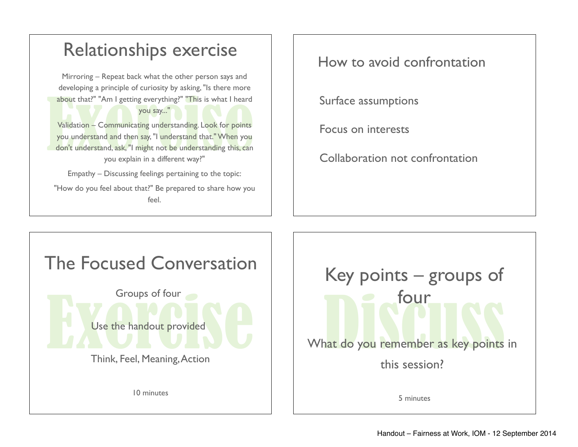

How to avoid confrontation

Surface assumptions

Focus on interests

Collaboration not confrontation